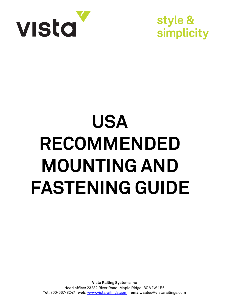

style & simplicity

## **USA RECOMMENDED MOUNTING AND FASTENING GUIDE**

**Vista Railing Systems Inc Head office:** 23282 River Road, Maple Ridge, BC V2W 1B6 **Tel:** 800-667-8247 **web:** <www.vistarailings.com>**email:** sales@vistarailings.com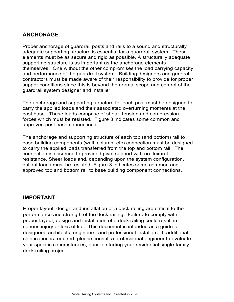## **ANCHORAGE:**

Proper anchorage of guardrail posts and rails to a sound and structurally adequate supporting structure is essential for a guardrail system. These elements must be as secure and rigid as possible. A structurally adequate supporting structure is as important as the anchorage elements themselves. One without the other compromises the load carrying capacity and performance of the guardrail system. Building designers and general contractors must be made aware of their responsibility to provide for proper supper conditions since this is beyond the normal scope and control of the guardrail system designer and installer.

The anchorage and supporting structure for each post must be designed to carry the applied loads and their associated overturning moments at the post base. These loads comprise of shear, tension and compression forces which must be resisted. Figure 3 indicates some common and approved post base connections.

The anchorage and supporting structure of each top (and bottom) rail to base building components (wall, column, etc) connection must be designed to carry the applied loads transferred from the top and bottom rail. The connection is assumed to provided pivot support with no flexural resistance. Sheer loads and, depending upon the system configuration, pullout loads must be resisted. Figure 3 indicates some common and approved top and bottom rail to base building component connections.

## **IMPORTANT:**

Proper layout, design and installation of a deck railing are critical to the performance and strength of the deck railing. Failure to comply with proper layout, design and installation of a deck railing could result in serious injury or loss of life. This document is intended as a guide for designers, architects, engineers, and professional installers. If additional clarification is required, please consult a professional engineer to evaluate your specific circumstances, prior to starting your residential single-family deck railing project.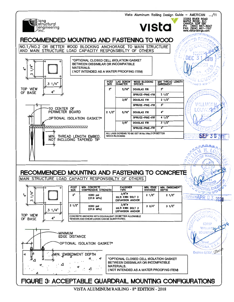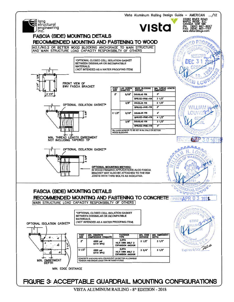

VISTA ALUMINUM RAILING - 8<sup>th</sup> EDITION - 2018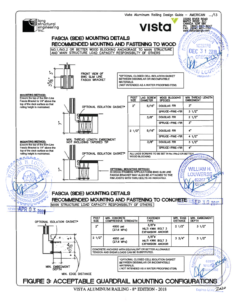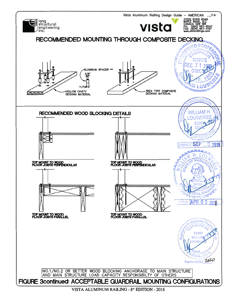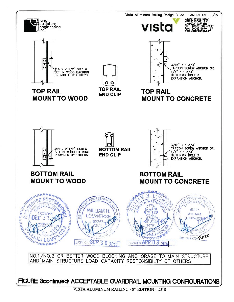